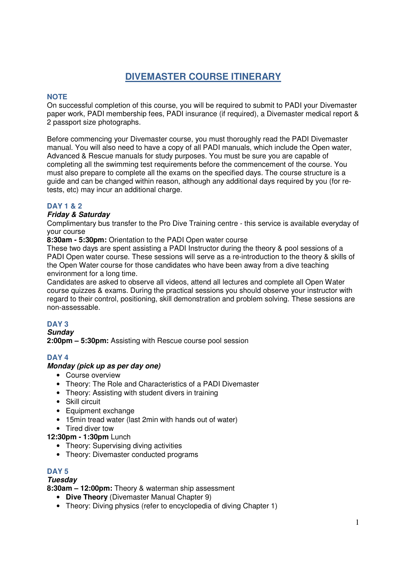# **DIVEMASTER COURSE ITINERARY**

# **NOTE**

On successful completion of this course, you will be required to submit to PADI your Divemaster paper work, PADI membership fees, PADI insurance (if required), a Divemaster medical report & 2 passport size photographs.

Before commencing your Divemaster course, you must thoroughly read the PADI Divemaster manual. You will also need to have a copy of all PADI manuals, which include the Open water, Advanced & Rescue manuals for study purposes. You must be sure you are capable of completing all the swimming test requirements before the commencement of the course. You must also prepare to complete all the exams on the specified days. The course structure is a guide and can be changed within reason, although any additional days required by you (for retests, etc) may incur an additional charge.

# **DAY 1 & 2**

### **Friday & Saturday**

Complimentary bus transfer to the Pro Dive Training centre - this service is available everyday of your course

**8:30am - 5:30pm:** Orientation to the PADI Open water course

These two days are spent assisting a PADI Instructor during the theory & pool sessions of a PADI Open water course. These sessions will serve as a re-introduction to the theory & skills of the Open Water course for those candidates who have been away from a dive teaching environment for a long time.

Candidates are asked to observe all videos, attend all lectures and complete all Open Water course quizzes & exams. During the practical sessions you should observe your instructor with regard to their control, positioning, skill demonstration and problem solving. These sessions are non-assessable.

# **DAY 3**

**Sunday** 

**2:00pm – 5:30pm:** Assisting with Rescue course pool session

# **DAY 4**

### **Monday (pick up as per day one)**

- Course overview
- Theory: The Role and Characteristics of a PADI Divemaster
- Theory: Assisting with student divers in training
- Skill circuit
- Equipment exchange
- 15min tread water (last 2min with hands out of water)
- Tired diver tow

### **12:30pm - 1:30pm** Lunch

- Theory: Supervising diving activities
- Theory: Divemaster conducted programs

### **DAY 5**

#### **Tuesday**

**8:30am – 12:00pm:** Theory & waterman ship assessment

- **Dive Theory** (Divemaster Manual Chapter 9)
- Theory: Diving physics (refer to encyclopedia of diving Chapter 1)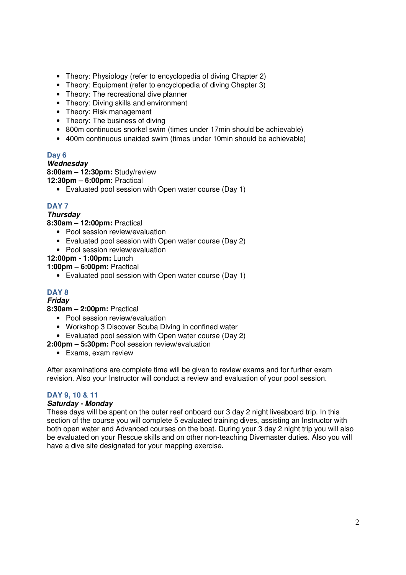- Theory: Physiology (refer to encyclopedia of diving Chapter 2)
- Theory: Equipment (refer to encyclopedia of diving Chapter 3)
- Theory: The recreational dive planner
- Theory: Diving skills and environment
- Theory: Risk management
- Theory: The business of diving
- 800m continuous snorkel swim (times under 17min should be achievable)
- 400m continuous unaided swim (times under 10min should be achievable)

# **Day 6**

#### **Wednesday**

**8:00am – 12:30pm:** Study/review

**12:30pm – 6:00pm:** Practical

• Evaluated pool session with Open water course (Day 1)

# **DAY 7**

# **Thursday**

**8:30am – 12:00pm:** Practical

- Pool session review/evaluation
- Evaluated pool session with Open water course (Day 2)
- Pool session review/evaluation

**12:00pm - 1:00pm:** Lunch

**1:00pm – 6:00pm:** Practical

• Evaluated pool session with Open water course (Day 1)

# **DAY 8**

# **Friday**

**8:30am – 2:00pm:** Practical

- Pool session review/evaluation
- Workshop 3 Discover Scuba Diving in confined water
- Evaluated pool session with Open water course (Day 2)
- **2:00pm 5:30pm:** Pool session review/evaluation
	- Exams, exam review

After examinations are complete time will be given to review exams and for further exam revision. Also your Instructor will conduct a review and evaluation of your pool session.

# **DAY 9, 10 & 11**

### **Saturday - Monday**

These days will be spent on the outer reef onboard our 3 day 2 night liveaboard trip. In this section of the course you will complete 5 evaluated training dives, assisting an Instructor with both open water and Advanced courses on the boat. During your 3 day 2 night trip you will also be evaluated on your Rescue skills and on other non-teaching Divemaster duties. Also you will have a dive site designated for your mapping exercise.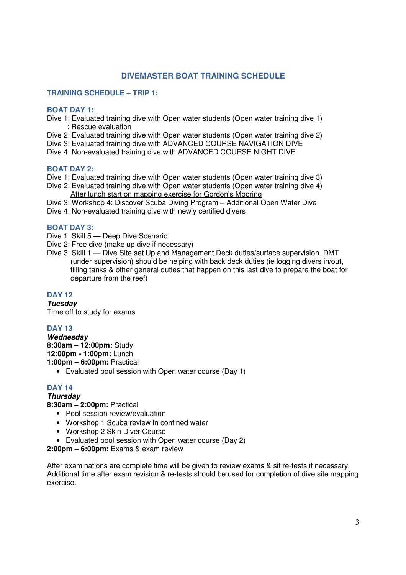# **DIVEMASTER BOAT TRAINING SCHEDULE**

#### **TRAINING SCHEDULE – TRIP 1:**

#### **BOAT DAY 1:**

- Dive 1: Evaluated training dive with Open water students (Open water training dive 1) : Rescue evaluation
- Dive 2: Evaluated training dive with Open water students (Open water training dive 2)
- Dive 3: Evaluated training dive with ADVANCED COURSE NAVIGATION DIVE
- Dive 4: Non-evaluated training dive with ADVANCED COURSE NIGHT DIVE

### **BOAT DAY 2:**

- Dive 1: Evaluated training dive with Open water students (Open water training dive 3)
- Dive 2: Evaluated training dive with Open water students (Open water training dive 4) After lunch start on mapping exercise for Gordon's Mooring
- Dive 3: Workshop 4: Discover Scuba Diving Program Additional Open Water Dive
- Dive 4: Non-evaluated training dive with newly certified divers

#### **BOAT DAY 3:**

- Dive 1: Skill 5 Deep Dive Scenario
- Dive 2: Free dive (make up dive if necessary)
- Dive 3: Skill 1 Dive Site set Up and Management Deck duties/surface supervision. DMT (under supervision) should be helping with back deck duties (ie logging divers in/out, filling tanks & other general duties that happen on this last dive to prepare the boat for departure from the reef)

### **DAY 12**

**Tuesday**  Time off to study for exams

### **DAY 13**

**Wednesday 8:30am – 12:00pm:** Study **12:00pm - 1:00pm:** Lunch **1:00pm – 6:00pm:** Practical

• Evaluated pool session with Open water course (Day 1)

# **DAY 14**

**Thursday** 

**8:30am – 2:00pm:** Practical

- Pool session review/evaluation
- Workshop 1 Scuba review in confined water
- Workshop 2 Skin Diver Course
- Evaluated pool session with Open water course (Day 2)

**2:00pm – 6:00pm:** Exams & exam review

After examinations are complete time will be given to review exams & sit re-tests if necessary. Additional time after exam revision & re-tests should be used for completion of dive site mapping exercise.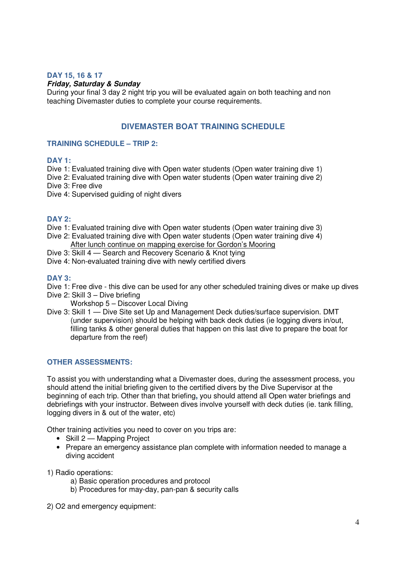#### **DAY 15, 16 & 17**

#### **Friday, Saturday & Sunday**

During your final 3 day 2 night trip you will be evaluated again on both teaching and non teaching Divemaster duties to complete your course requirements.

# **DIVEMASTER BOAT TRAINING SCHEDULE**

#### **TRAINING SCHEDULE – TRIP 2:**

#### **DAY 1:**

Dive 1: Evaluated training dive with Open water students (Open water training dive 1)

Dive 2: Evaluated training dive with Open water students (Open water training dive 2) Dive 3: Free dive

Dive 4: Supervised guiding of night divers

### **DAY 2:**

- Dive 1: Evaluated training dive with Open water students (Open water training dive 3)
- Dive 2: Evaluated training dive with Open water students (Open water training dive 4) After lunch continue on mapping exercise for Gordon's Mooring
- Dive 3: Skill 4 Search and Recovery Scenario & Knot tying
- Dive 4: Non-evaluated training dive with newly certified divers

### **DAY 3:**

- Dive 1: Free dive this dive can be used for any other scheduled training dives or make up dives
- Dive 2: Skill 3 Dive briefing
	- Workshop 5 Discover Local Diving
- Dive 3: Skill 1 Dive Site set Up and Management Deck duties/surface supervision. DMT (under supervision) should be helping with back deck duties (ie logging divers in/out, filling tanks & other general duties that happen on this last dive to prepare the boat for departure from the reef)

### **OTHER ASSESSMENTS:**

To assist you with understanding what a Divemaster does, during the assessment process, you should attend the initial briefing given to the certified divers by the Dive Supervisor at the beginning of each trip. Other than that briefing**,** you should attend all Open water briefings and debriefings with your instructor. Between dives involve yourself with deck duties (ie. tank filling, logging divers in & out of the water, etc)

Other training activities you need to cover on you trips are:

- Skill 2 Mapping Project
- Prepare an emergency assistance plan complete with information needed to manage a diving accident

1) Radio operations:

- a) Basic operation procedures and protocol
- b) Procedures for may-day, pan-pan & security calls

2) O2 and emergency equipment: